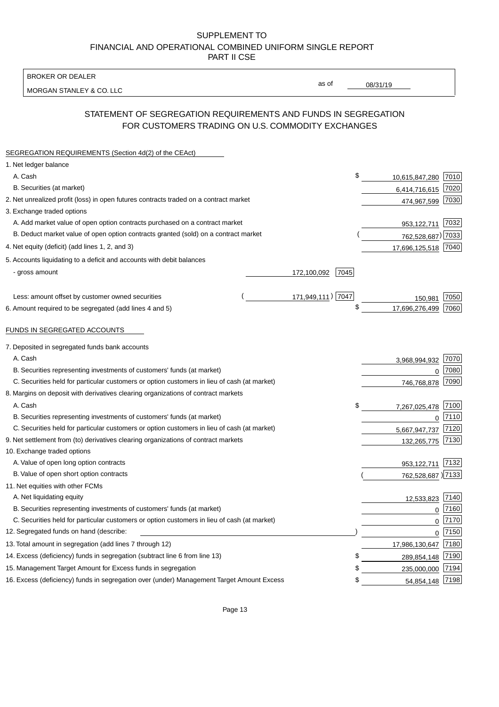BROKER OR DEALER

MORGAN STANLEY & CO. LLC

08/31/19

as of

# STATEMENT OF SEGREGATION REQUIREMENTS AND FUNDS IN SEGREGATION FOR CUSTOMERS TRADING ON U.S. COMMODITY EXCHANGES

| SEGREGATION REQUIREMENTS (Section 4d(2) of the CEAct)                                       |                     |                     |      |
|---------------------------------------------------------------------------------------------|---------------------|---------------------|------|
| 1. Net ledger balance                                                                       |                     |                     |      |
| A. Cash                                                                                     | \$                  | 10,615,847,280      | 7010 |
| B. Securities (at market)                                                                   |                     | 6,414,716,615       | 7020 |
| 2. Net unrealized profit (loss) in open futures contracts traded on a contract market       |                     | 474,967,599         | 7030 |
| 3. Exchange traded options                                                                  |                     |                     |      |
| A. Add market value of open option contracts purchased on a contract market                 |                     | 953,122,711         | 7032 |
| B. Deduct market value of open option contracts granted (sold) on a contract market         |                     | 762,528,687) 7033   |      |
| 4. Net equity (deficit) (add lines 1, 2, and 3)                                             |                     | 17,696,125,518 7040 |      |
| 5. Accounts liquidating to a deficit and accounts with debit balances                       |                     |                     |      |
| - gross amount                                                                              | 7045<br>172,100,092 |                     |      |
|                                                                                             |                     |                     |      |
| Less: amount offset by customer owned securities                                            | 171,949,111) 7047   | 150,981             | 7050 |
| 6. Amount required to be segregated (add lines 4 and 5)                                     | \$                  | 17,696,276,499      | 7060 |
| FUNDS IN SEGREGATED ACCOUNTS                                                                |                     |                     |      |
| 7. Deposited in segregated funds bank accounts                                              |                     |                     |      |
| A. Cash                                                                                     |                     | 3,968,994,932       | 7070 |
| B. Securities representing investments of customers' funds (at market)                      |                     | $\Omega$            | 7080 |
| C. Securities held for particular customers or option customers in lieu of cash (at market) |                     | 746,768,878         | 7090 |
| 8. Margins on deposit with derivatives clearing organizations of contract markets           |                     |                     |      |
| A. Cash                                                                                     | \$                  | 7,267,025,478       | 7100 |
| B. Securities representing investments of customers' funds (at market)                      |                     | $\mathbf{0}$        | 7110 |
| C. Securities held for particular customers or option customers in lieu of cash (at market) |                     | 5,667,947,737       | 7120 |
| 9. Net settlement from (to) derivatives clearing organizations of contract markets          |                     | 132,265,775         | 7130 |
| 10. Exchange traded options                                                                 |                     |                     |      |
| A. Value of open long option contracts                                                      |                     | 953,122,711         | 7132 |
| B. Value of open short option contracts                                                     |                     | 762,528,687 ) 7133  |      |
| 11. Net equities with other FCMs                                                            |                     |                     |      |
| A. Net liquidating equity                                                                   |                     | 12,533,823          | 7140 |
| B. Securities representing investments of customers' funds (at market)                      |                     | $\mathbf 0$         | 7160 |
| C. Securities held for particular customers or option customers in lieu of cash (at market) |                     | $\mathbf 0$         | 7170 |
| 12. Segregated funds on hand (describe:                                                     |                     | $\mathbf 0$         | 7150 |
| 13. Total amount in segregation (add lines 7 through 12)                                    |                     | 17,986,130,647      | 7180 |
| 14. Excess (deficiency) funds in segregation (subtract line 6 from line 13)                 | S                   | 289,854,148         | 7190 |
| 15. Management Target Amount for Excess funds in segregation                                | \$                  | 235,000,000         | 7194 |
| 16. Excess (deficiency) funds in segregation over (under) Management Target Amount Excess   | \$                  | 54,854,148          | 7198 |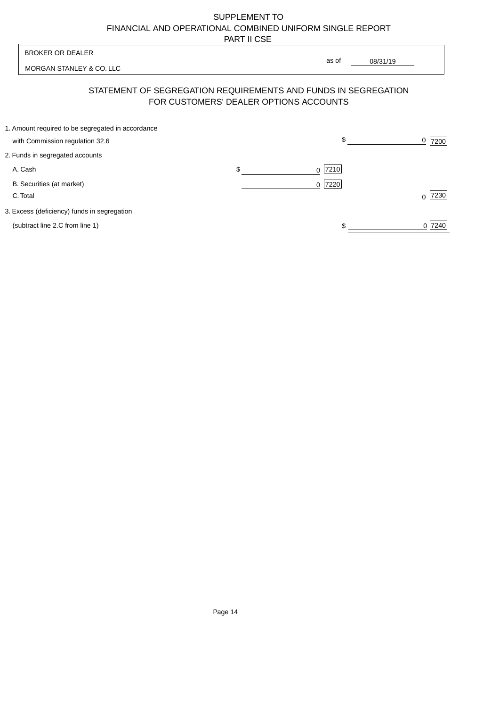| <b>BROKER OR DEALER</b>                                                              | as of                                                                                                    |                  |
|--------------------------------------------------------------------------------------|----------------------------------------------------------------------------------------------------------|------------------|
| MORGAN STANLEY & CO. LLC                                                             | 08/31/19                                                                                                 |                  |
|                                                                                      | STATEMENT OF SEGREGATION REQUIREMENTS AND FUNDS IN SEGREGATION<br>FOR CUSTOMERS' DEALER OPTIONS ACCOUNTS |                  |
| 1. Amount required to be segregated in accordance<br>with Commission regulation 32.6 | \$                                                                                                       | 0<br>7200        |
| 2. Funds in segregated accounts                                                      |                                                                                                          |                  |
| A. Cash                                                                              | \$<br>7210<br><sup>0</sup>                                                                               |                  |
| B. Securities (at market)<br>C. Total                                                | 0 7220                                                                                                   | 7230<br>$\Omega$ |
| 3. Excess (deficiency) funds in segregation                                          |                                                                                                          |                  |
| (subtract line 2.C from line 1)                                                      |                                                                                                          | 0 7240           |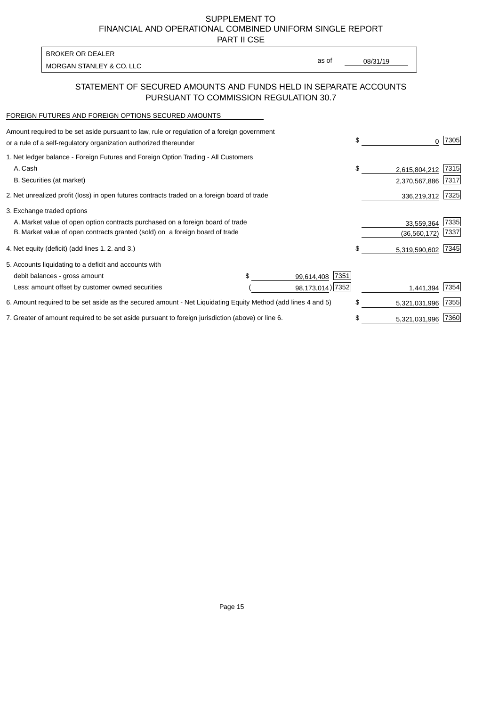PART II CSE

| <b>BROKER OR DEALER</b>  |       |          |
|--------------------------|-------|----------|
| MORGAN STANLEY & CO. LLC | as of | 08/31/19 |
|                          |       |          |

## STATEMENT OF SECURED AMOUNTS AND FUNDS HELD IN SEPARATE ACCOUNTS PURSUANT TO COMMISSION REGULATION 30.7

#### FOREIGN FUTURES AND FOREIGN OPTIONS SECURED AMOUNTS

| Amount required to be set aside pursuant to law, rule or regulation of a foreign government<br>or a rule of a self-regulatory organization authorized thereunder | \$ | 0              | 7305 |
|------------------------------------------------------------------------------------------------------------------------------------------------------------------|----|----------------|------|
| 1. Net ledger balance - Foreign Futures and Foreign Option Trading - All Customers                                                                               |    |                |      |
| A. Cash                                                                                                                                                          | \$ | 2,615,804,212  | 7315 |
| B. Securities (at market)                                                                                                                                        |    | 2,370,567,886  | 7317 |
| 2. Net unrealized profit (loss) in open futures contracts traded on a foreign board of trade                                                                     |    | 336,219,312    | 7325 |
| 3. Exchange traded options                                                                                                                                       |    |                |      |
| A. Market value of open option contracts purchased on a foreign board of trade                                                                                   |    | 33,559,364     | 7335 |
| B. Market value of open contracts granted (sold) on a foreign board of trade                                                                                     |    | (36, 560, 172) | 7337 |
| 4. Net equity (deficit) (add lines 1. 2. and 3.)                                                                                                                 | \$ | 5,319,590,602  | 7345 |
| 5. Accounts liquidating to a deficit and accounts with                                                                                                           |    |                |      |
| 7351<br>debit balances - gross amount<br>99,614,408                                                                                                              |    |                |      |
| 98,173,014) 7352<br>Less: amount offset by customer owned securities                                                                                             |    | 1,441,394      | 7354 |
| 6. Amount required to be set aside as the secured amount - Net Liquidating Equity Method (add lines 4 and 5)                                                     | \$ | 5,321,031,996  | 7355 |
| 7. Greater of amount required to be set aside pursuant to foreign jurisdiction (above) or line 6.                                                                |    | 5,321,031,996  | 7360 |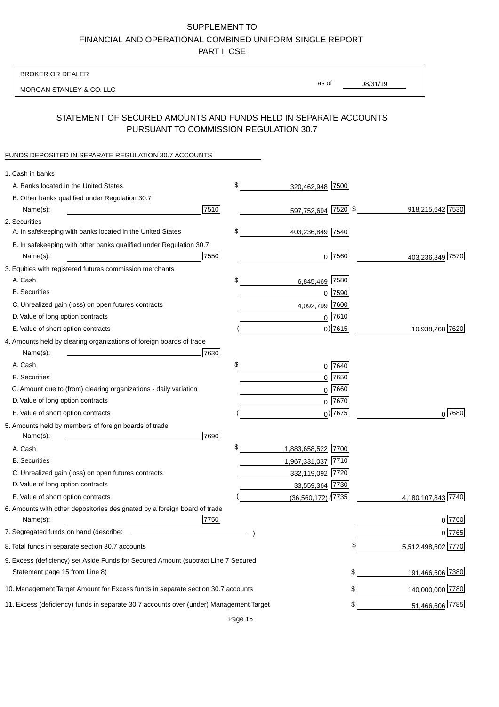BROKER OR DEALER

MORGAN STANLEY & CO. LLC

08/31/19 as of

## STATEMENT OF SECURED AMOUNTS AND FUNDS HELD IN SEPARATE ACCOUNTS PURSUANT TO COMMISSION REGULATION 30.7

#### FUNDS DEPOSITED IN SEPARATE REGULATION 30.7 ACCOUNTS

| 1. Cash in banks                                                                             |                    |
|----------------------------------------------------------------------------------------------|--------------------|
| \$<br>A. Banks located in the United States<br>7500<br>320,462,948                           |                    |
| B. Other banks qualified under Regulation 30.7                                               |                    |
| 7510<br>597,752,694 7520 \$<br>Name(s):                                                      | 918,215,642 7530   |
| 2. Securities                                                                                |                    |
| \$<br>A. In safekeeping with banks located in the United States<br>403,236,849 7540          |                    |
| B. In safekeeping with other banks qualified under Regulation 30.7                           |                    |
| 7550<br>7560<br>Name(s):<br>0                                                                | 403,236,849 7570   |
| 3. Equities with registered futures commission merchants                                     |                    |
| A. Cash<br>\$<br>7580<br>6,845,469                                                           |                    |
| <b>B.</b> Securities<br>$0$ 7590                                                             |                    |
| 7600<br>C. Unrealized gain (loss) on open futures contracts<br>4,092,799                     |                    |
| $0$ 7610<br>D. Value of long option contracts                                                |                    |
| $0)$ 7615<br>E. Value of short option contracts                                              | 10,938,268 7620    |
| 4. Amounts held by clearing organizations of foreign boards of trade                         |                    |
| Name(s):<br>7630                                                                             |                    |
| \$<br>A. Cash<br>0 7640                                                                      |                    |
| $0$ 7650<br><b>B.</b> Securities                                                             |                    |
| C. Amount due to (from) clearing organizations - daily variation<br>7660<br>0                |                    |
| D. Value of long option contracts<br>0 7670                                                  |                    |
| $_0$ ) 7675<br>E. Value of short option contracts                                            | 0 7680             |
| 5. Amounts held by members of foreign boards of trade                                        |                    |
| Name(s):<br>7690                                                                             |                    |
| \$<br>1,883,658,522 7700<br>A. Cash                                                          |                    |
| <b>B.</b> Securities<br>1,967,331,037 7710                                                   |                    |
| C. Unrealized gain (loss) on open futures contracts<br>332,119,092 7720                      |                    |
| D. Value of long option contracts<br>33,559,364 7730                                         |                    |
| E. Value of short option contracts<br>$(36,560,172)$ <sup>)</sup> [7735]                     | 4,180,107,843 7740 |
| 6. Amounts with other depositories designated by a foreign board of trade                    |                    |
| 7750<br>Name(s):                                                                             | 0 7760             |
| 7. Segregated funds on hand (describe:                                                       | 0 7765             |
| 8. Total funds in separate section 30.7 accounts                                             | 5,512,498,602 7770 |
| 9. Excess (deficiency) set Aside Funds for Secured Amount (subtract Line 7 Secured           |                    |
| \$<br>Statement page 15 from Line 8)                                                         | 191,466,606 7380   |
| 10. Management Target Amount for Excess funds in separate section 30.7 accounts<br>\$        | 140,000,000 7780   |
| 11. Excess (deficiency) funds in separate 30.7 accounts over (under) Management Target<br>\$ | 51,466,606 7785    |

Page 16